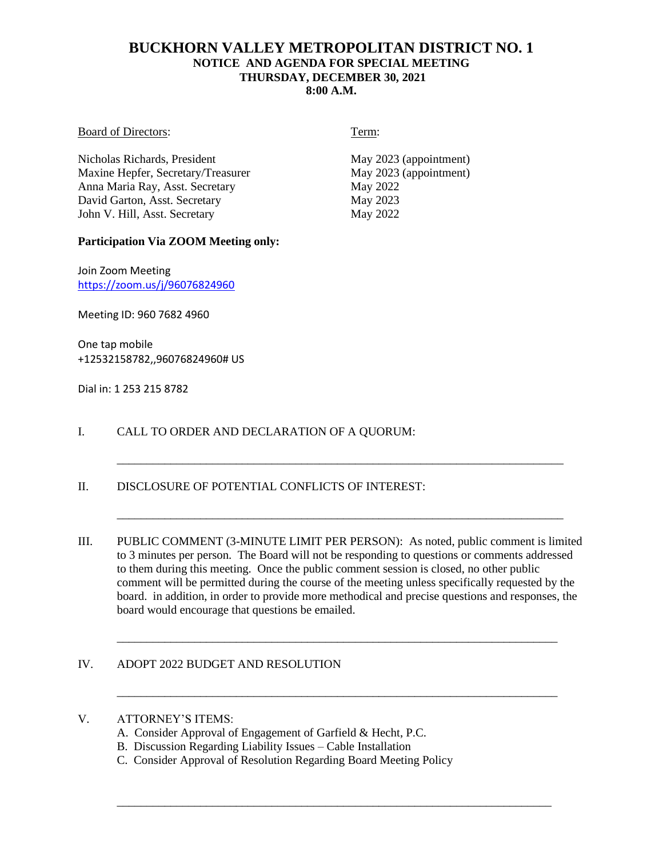# **BUCKHORN VALLEY METROPOLITAN DISTRICT NO. 1 NOTICE AND AGENDA FOR SPECIAL MEETING THURSDAY, DECEMBER 30, 2021 8:00 A.M.**

#### Board of Directors: Term:

Nicholas Richards, President May 2023 (appointment)<br>
May 2023 (appointment)<br>
May 2023 (appointment) Maxine Hepfer, Secretary/Treasurer Anna Maria Ray, Asst. Secretary May 2022 David Garton, Asst. Secretary May 2023 John V. Hill, Asst. Secretary May 2022

## **Participation Via ZOOM Meeting only:**

Join Zoom Meeting <https://zoom.us/j/96076824960>

Meeting ID: 960 7682 4960

One tap mobile +12532158782,,96076824960# US

Dial in: 1 253 215 8782

# I. CALL TO ORDER AND DECLARATION OF A QUORUM:

## II. DISCLOSURE OF POTENTIAL CONFLICTS OF INTEREST:

III. PUBLIC COMMENT (3-MINUTE LIMIT PER PERSON): As noted, public comment is limited to 3 minutes per person. The Board will not be responding to questions or comments addressed to them during this meeting. Once the public comment session is closed, no other public comment will be permitted during the course of the meeting unless specifically requested by the board. in addition, in order to provide more methodical and precise questions and responses, the board would encourage that questions be emailed.

\_\_\_\_\_\_\_\_\_\_\_\_\_\_\_\_\_\_\_\_\_\_\_\_\_\_\_\_\_\_\_\_\_\_\_\_\_\_\_\_\_\_\_\_\_\_\_\_\_\_\_\_\_\_\_\_\_\_\_\_\_\_\_\_\_\_\_\_\_\_\_\_\_\_

\_\_\_\_\_\_\_\_\_\_\_\_\_\_\_\_\_\_\_\_\_\_\_\_\_\_\_\_\_\_\_\_\_\_\_\_\_\_\_\_\_\_\_\_\_\_\_\_\_\_\_\_\_\_\_\_\_\_\_\_\_\_\_\_\_\_\_\_\_\_\_\_\_\_

\_\_\_\_\_\_\_\_\_\_\_\_\_\_\_\_\_\_\_\_\_\_\_\_\_\_\_\_\_\_\_\_\_\_\_\_\_\_\_\_\_\_\_\_\_\_\_\_\_\_\_\_\_\_\_\_\_\_\_\_\_\_\_\_\_\_\_\_\_\_\_\_\_

\_\_\_\_\_\_\_\_\_\_\_\_\_\_\_\_\_\_\_\_\_\_\_\_\_\_\_\_\_\_\_\_\_\_\_\_\_\_\_\_\_\_\_\_\_\_\_\_\_\_\_\_\_\_\_\_\_\_\_\_\_\_\_\_\_\_\_\_\_\_\_\_\_\_\_

\_\_\_\_\_\_\_\_\_\_\_\_\_\_\_\_\_\_\_\_\_\_\_\_\_\_\_\_\_\_\_\_\_\_\_\_\_\_\_\_\_\_\_\_\_\_\_\_\_\_\_\_\_\_\_\_\_\_\_\_\_\_\_\_\_\_\_\_\_\_\_\_\_\_\_

## IV. ADOPT 2022 BUDGET AND RESOLUTION

## V. ATTORNEY'S ITEMS:

- A. Consider Approval of Engagement of Garfield & Hecht, P.C.
- B. Discussion Regarding Liability Issues Cable Installation
- C. Consider Approval of Resolution Regarding Board Meeting Policy